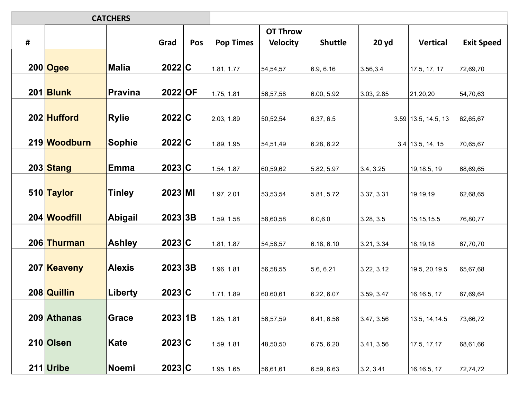| <b>CATCHERS</b> |              |                |          |     |                  |                 |                |            |                       |                   |
|-----------------|--------------|----------------|----------|-----|------------------|-----------------|----------------|------------|-----------------------|-------------------|
|                 |              |                |          |     |                  | <b>OT Throw</b> |                |            |                       |                   |
| #               |              |                | Grad     | Pos | <b>Pop Times</b> | <b>Velocity</b> | <b>Shuttle</b> | 20 yd      | <b>Vertical</b>       | <b>Exit Speed</b> |
|                 |              |                |          |     |                  |                 |                |            |                       |                   |
|                 | 200 Ogee     | <b>Malia</b>   | 2022 C   |     | 1.81, 1.77       | 54,54,57        | 6.9, 6.16      | 3.56,3.4   | 17.5, 17, 17          | 72,69,70          |
|                 |              |                |          |     |                  |                 |                |            |                       |                   |
|                 | 201 Blunk    | <b>Pravina</b> | 2022 OF  |     | 1.75, 1.81       | 56,57,58        | 6.00, 5.92     | 3.03, 2.85 | 21,20,20              | 54,70,63          |
|                 |              |                |          |     |                  |                 |                |            |                       |                   |
|                 | 202 Hufford  | <b>Rylie</b>   | 2022 C   |     | 2.03, 1.89       | 50,52,54        | 6.37, 6.5      |            | $3.59$ 13.5, 14.5, 13 | 62,65,67          |
|                 | 219 Woodburn |                | 2022 C   |     |                  |                 |                |            |                       |                   |
|                 |              | <b>Sophie</b>  |          |     | 1.89, 1.95       | 54,51,49        | 6.28, 6.22     |            | $3.4$ 13.5, 14, 15    | 70,65,67          |
|                 | 203 Stang    | <b>Emma</b>    | 2023 C   |     | 1.54, 1.87       | 60,59,62        | 5.82, 5.97     | 3.4, 3.25  | 19, 18.5, 19          | 68,69,65          |
|                 |              |                |          |     |                  |                 |                |            |                       |                   |
|                 | 510 Taylor   | <b>Tinley</b>  | 2023 M   |     | 1.97, 2.01       | 53,53,54        | 5.81, 5.72     | 3.37, 3.31 | 19,19,19              | 62,68,65          |
|                 |              |                |          |     |                  |                 |                |            |                       |                   |
|                 | 204 Woodfill | <b>Abigail</b> | 2023 3B  |     | 1.59, 1.58       | 58,60,58        | 6.0, 6.0       | 3.28, 3.5  | 15, 15, 15.5          | 76,80,77          |
|                 |              |                |          |     |                  |                 |                |            |                       |                   |
|                 | 206 Thurman  | <b>Ashley</b>  | 2023 C   |     | 1.81, 1.87       | 54,58,57        | 6.18, 6.10     | 3.21, 3.34 | 18,19,18              | 67,70,70          |
|                 |              |                |          |     |                  |                 |                |            |                       |                   |
|                 | 207 Keaveny  | <b>Alexis</b>  | 2023 3B  |     | 1.96, 1.81       | 56,58,55        | 5.6, 6.21      | 3.22, 3.12 | 19.5, 20, 19.5        | 65,67,68          |
|                 |              |                |          |     |                  |                 |                |            |                       |                   |
|                 | 208 Quillin  | Liberty        | 2023 C   |     | 1.71, 1.89       | 60.60,61        | 6.22, 6.07     | 3.59, 3.47 | 16, 16.5, 17          | 67,69,64          |
|                 |              |                |          |     |                  |                 |                |            |                       |                   |
|                 | 209 Athanas  | Grace          | 2023 1B  |     | 1.85, 1.81       | 56,57,59        | 6.41, 6.56     | 3.47, 3.56 | 13.5, 14, 14.5        | 73,66,72          |
|                 | 210 Olsen    |                | 2023 C   |     |                  |                 |                |            |                       |                   |
|                 |              | Kate           |          |     | 1.59, 1.81       | 48,50,50        | 6.75, 6.20     | 3.41, 3.56 | 17.5, 17, 17          | 68,61,66          |
|                 | $211$ Uribe  | Noemi          | $2023$ C |     | 1.95, 1.65       | 56,61,61        | 6.59, 6.63     | 3.2, 3.41  | 16, 16.5, 17          | 72,74,72          |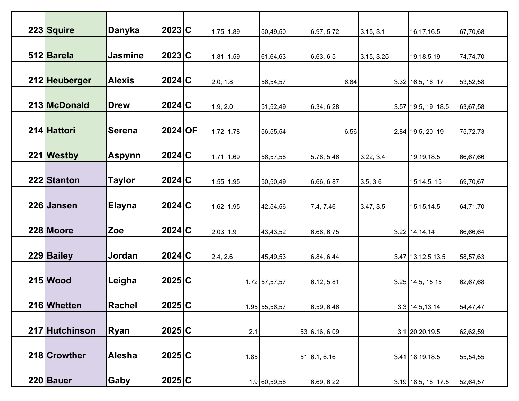| 223 Squire     | Danyka         | 2023 C    | 1.75, 1.89 | 50,49,50      | 6.97, 5.72    | 3.15, 3.1  | 16, 17, 16.5          | 67,70,68 |
|----------------|----------------|-----------|------------|---------------|---------------|------------|-----------------------|----------|
|                |                |           |            |               |               |            |                       |          |
|                |                |           |            |               |               |            |                       |          |
| 512 Barela     | <b>Jasmine</b> | 2023 C    | 1.81, 1.59 | 61,64,63      | 6.63, 6.5     | 3.15, 3.25 | 19,18.5,19            | 74,74,70 |
|                |                |           |            |               |               |            |                       |          |
| 212 Heuberger  | <b>Alexis</b>  | 2024 C    |            |               |               |            |                       |          |
|                |                |           | 2.0, 1.8   | 56,54,57      | 6.84          |            | $3.32$ 16.5, 16, 17   | 53,52,58 |
|                |                |           |            |               |               |            |                       |          |
| 213 McDonald   | <b>Drew</b>    | 2024 C    | 1.9, 2.0   | 51,52,49      | 6.34, 6.28    |            | $3.57$ 19.5, 19, 18.5 | 63,67,58 |
|                |                |           |            |               |               |            |                       |          |
| 214 Hattori    | <b>Serena</b>  | $2024$ OF |            | 56,55,54      | 6.56          |            |                       |          |
|                |                |           | 1.72, 1.78 |               |               |            | $2.84$ 19.5, 20, 19   | 75,72,73 |
|                |                |           |            |               |               |            |                       |          |
| 221 Westby     | <b>Aspynn</b>  | 2024 C    | 1.71, 1.69 | 56,57,58      | 5.78, 5.46    | 3.22, 3.4  | 19, 19, 18.5          | 66,67,66 |
|                |                |           |            |               |               |            |                       |          |
| 222 Stanton    | Taylor         | 2024 C    | 1.55, 1.95 | 50,50,49      | 6.66, 6.87    | 3.5, 3.6   | 15, 14.5, 15          | 69,70,67 |
|                |                |           |            |               |               |            |                       |          |
|                |                |           |            |               |               |            |                       |          |
| 226 Jansen     | <b>Elayna</b>  | 2024 C    | 1.62, 1.95 | 42,54,56      | 7.4, 7.46     | 3.47, 3.5  | 15, 15, 14.5          | 64,71,70 |
|                |                |           |            |               |               |            |                       |          |
| 228 Moore      | Zoe            | 2024 C    | 2.03, 1.9  | 43,43,52      | 6.68, 6.75    |            | $3.22$ 14, 14, 14     | 66,66,64 |
|                |                |           |            |               |               |            |                       |          |
|                |                |           |            |               |               |            |                       |          |
| 229 Bailey     | Jordan         | 2024 C    | 2.4, 2.6   | 45,49,53      | 6.84, 6.44    |            | $3.47$ 13, 12.5, 13.5 | 58,57,63 |
|                |                |           |            |               |               |            |                       |          |
| $215$ Wood     | Leigha         | 2025 C    |            | 1.72 57,57,57 | 6.12, 5.81    |            | $3.25$ 14.5, 15, 15   | 62,67,68 |
|                |                |           |            |               |               |            |                       |          |
|                |                |           |            |               |               |            |                       |          |
| 216 Whetten    | <b>Rachel</b>  | 2025C     |            | 1.95 55,56,57 | 6.59, 6.46    |            | $3.3$ 14.5, 13, 14    | 54,47,47 |
|                |                |           |            |               |               |            |                       |          |
| 217 Hutchinson | Ryan           | 2025 C    | 2.1        |               | 53 6.16, 6.09 |            | $3.1$ 20, 20, 19.5    | 62,62,59 |
|                |                |           |            |               |               |            |                       |          |
|                |                |           |            |               |               |            |                       |          |
| 218 Crowther   | <b>Alesha</b>  | 2025 C    | 1.85       |               | 51 6.1, 6.16  |            | $3.41$   18, 19, 18.5 | 55,54,55 |
|                |                |           |            |               |               |            |                       |          |
| $220$ Bauer    | Gaby           | 2025 C    |            | 1.9 60,59,58  | 6.69, 6.22    |            | $3.19$ 18.5, 18, 17.5 | 52,64,57 |